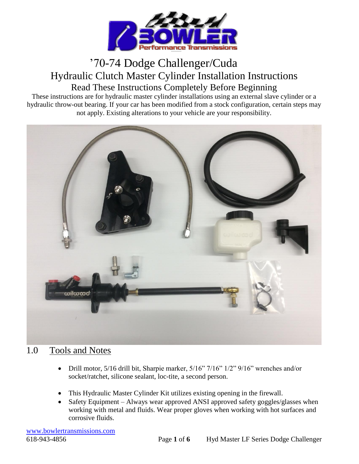

# '70-74 Dodge Challenger/Cuda Hydraulic Clutch Master Cylinder Installation Instructions Read These Instructions Completely Before Beginning

These instructions are for hydraulic master cylinder installations using an external slave cylinder or a hydraulic throw-out bearing. If your car has been modified from a stock configuration, certain steps may not apply. Existing alterations to your vehicle are your responsibility.



### 1.0 Tools and Notes

- Drill motor, 5/16 drill bit, Sharpie marker, 5/16" 7/16" 1/2" 9/16" wrenches and/or socket/ratchet, silicone sealant, loc-tite, a second person.
- This Hydraulic Master Cylinder Kit utilizes existing opening in the firewall.
- Safety Equipment Always wear approved ANSI approved safety goggles/glasses when working with metal and fluids. Wear proper gloves when working with hot surfaces and corrosive fluids.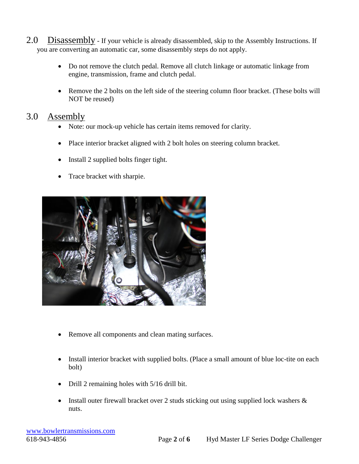- 2.0 Disassembly If your vehicle is already disassembled, skip to the Assembly Instructions. If you are converting an automatic car, some disassembly steps do not apply.
	- Do not remove the clutch pedal. Remove all clutch linkage or automatic linkage from engine, transmission, frame and clutch pedal.
	- Remove the 2 bolts on the left side of the steering column floor bracket. (These bolts will NOT be reused)

### 3.0 Assembly

- Note: our mock-up vehicle has certain items removed for clarity.
- Place interior bracket aligned with 2 bolt holes on steering column bracket.
- Install 2 supplied bolts finger tight.
- Trace bracket with sharpie.



- Remove all components and clean mating surfaces.
- Install interior bracket with supplied bolts. (Place a small amount of blue loc-tite on each bolt)
- Drill 2 remaining holes with 5/16 drill bit.
- Install outer firewall bracket over 2 studs sticking out using supplied lock washers  $\&$ nuts.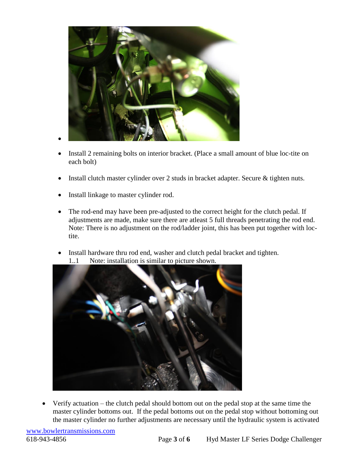

- Install 2 remaining bolts on interior bracket. (Place a small amount of blue loc-tite on each bolt)
- Install clutch master cylinder over 2 studs in bracket adapter. Secure & tighten nuts.
- Install linkage to master cylinder rod.
- The rod-end may have been pre-adjusted to the correct height for the clutch pedal. If adjustments are made, make sure there are atleast 5 full threads penetrating the rod end. Note: There is no adjustment on the rod/ladder joint, this has been put together with loctite.
- Install hardware thru rod end, washer and clutch pedal bracket and tighten. 1..1 Note: installation is similar to picture shown.



• Verify actuation – the clutch pedal should bottom out on the pedal stop at the same time the master cylinder bottoms out. If the pedal bottoms out on the pedal stop without bottoming out the master cylinder no further adjustments are necessary until the hydraulic system is activated

[www.bowlertransmissions.com](http://www.bowlertransmissions.com/)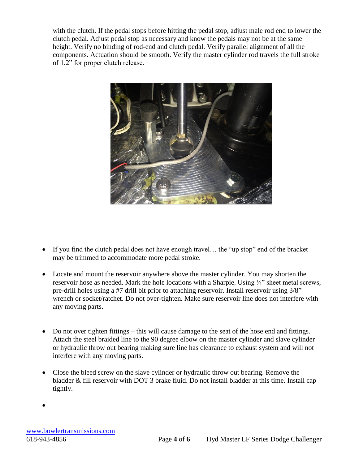with the clutch. If the pedal stops before hitting the pedal stop, adjust male rod end to lower the clutch pedal. Adjust pedal stop as necessary and know the pedals may not be at the same height. Verify no binding of rod-end and clutch pedal. Verify parallel alignment of all the components. Actuation should be smooth. Verify the master cylinder rod travels the full stroke of 1.2" for proper clutch release.



- If you find the clutch pedal does not have enough travel... the "up stop" end of the bracket may be trimmed to accommodate more pedal stroke.
- Locate and mount the reservoir anywhere above the master cylinder. You may shorten the reservoir hose as needed. Mark the hole locations with a Sharpie. Using ¼" sheet metal screws, pre-drill holes using a #7 drill bit prior to attaching reservoir. Install reservoir using 3/8" wrench or socket/ratchet. Do not over-tighten. Make sure reservoir line does not interfere with any moving parts.
- Do not over tighten fittings this will cause damage to the seat of the hose end and fittings. Attach the steel braided line to the 90 degree elbow on the master cylinder and slave cylinder or hydraulic throw out bearing making sure line has clearance to exhaust system and will not interfere with any moving parts.
- Close the bleed screw on the slave cylinder or hydraulic throw out bearing. Remove the bladder & fill reservoir with DOT 3 brake fluid. Do not install bladder at this time. Install cap tightly.
- •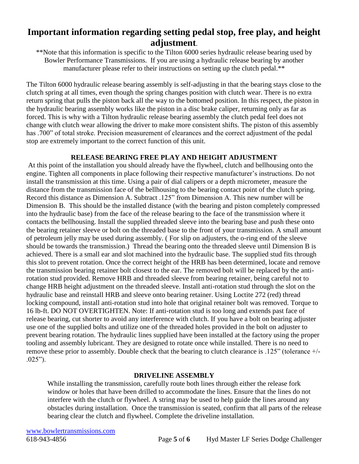## **Important information regarding setting pedal stop, free play, and height adjustment**.

\*\*Note that this information is specific to the Tilton 6000 series hydraulic release bearing used by Bowler Performance Transmissions. If you are using a hydraulic release bearing by another manufacturer please refer to their instructions on setting up the clutch pedal.\*\*

The Tilton 6000 hydraulic release bearing assembly is self-adjusting in that the bearing stays close to the clutch spring at all times, even though the spring changes position with clutch wear. There is no extra return spring that pulls the piston back all the way to the bottomed position. In this respect, the piston in the hydraulic bearing assembly works like the piston in a disc brake caliper, returning only as far as forced. This is why with a Tilton hydraulic release bearing assembly the clutch pedal feel does not change with clutch wear allowing the driver to make more consistent shifts. The piston of this assembly has .700" of total stroke. Precision measurement of clearances and the correct adjustment of the pedal stop are extremely important to the correct function of this unit.

#### **RELEASE BEARING FREE PLAY AND HEIGHT ADJUSTMENT**

At this point of the installation you should already have the flywheel, clutch and bellhousing onto the engine. Tighten all components in place following their respective manufacturer's instructions. Do not install the transmission at this time. Using a pair of dial calipers or a depth micrometer, measure the distance from the transmission face of the bellhousing to the bearing contact point of the clutch spring. Record this distance as Dimension A. Subtract .125" from Dimension A. This new number will be Dimension B. This should be the installed distance (with the bearing and piston completely compressed into the hydraulic base) from the face of the release bearing to the face of the transmission where it contacts the bellhousing. Install the supplied threaded sleeve into the bearing base and push these onto the bearing retainer sleeve or bolt on the threaded base to the front of your transmission. A small amount of petroleum jelly may be used during assembly. ( For slip on adjusters, the o-ring end of the sleeve should be towards the transmission.) Thread the bearing onto the threaded sleeve until Dimension B is achieved. There is a small ear and slot machined into the hydraulic base. The supplied stud fits through this slot to prevent rotation. Once the correct height of the HRB has been determined, locate and remove the transmission bearing retainer bolt closest to the ear. The removed bolt will be replaced by the antirotation stud provided. Remove HRB and threaded sleeve from bearing retainer, being careful not to change HRB height adjustment on the threaded sleeve. Install anti-rotation stud through the slot on the hydraulic base and reinstall HRB and sleeve onto bearing retainer. Using Loctite 272 (red) thread locking compound, install anti-rotation stud into hole that original retainer bolt was removed. Torque to 16 lb-ft. DO NOT OVERTIGHTEN. Note: If anti-rotation stud is too long and extends past face of release bearing, cut shorter to avoid any interference with clutch. If you have a bolt on bearing adjuster use one of the supplied bolts and utilize one of the threaded holes provided in the bolt on adjuster to prevent bearing rotation. The hydraulic lines supplied have been installed at the factory using the proper tooling and assembly lubricant. They are designed to rotate once while installed. There is no need to remove these prior to assembly. Double check that the bearing to clutch clearance is .125" (tolerance +/- .025").

#### **DRIVELINE ASSEMBLY**

While installing the transmission, carefully route both lines through either the release fork window or holes that have been drilled to accommodate the lines. Ensure that the lines do not interfere with the clutch or flywheel. A string may be used to help guide the lines around any obstacles during installation. Once the transmission is seated, confirm that all parts of the release bearing clear the clutch and flywheel. Complete the driveline installation.